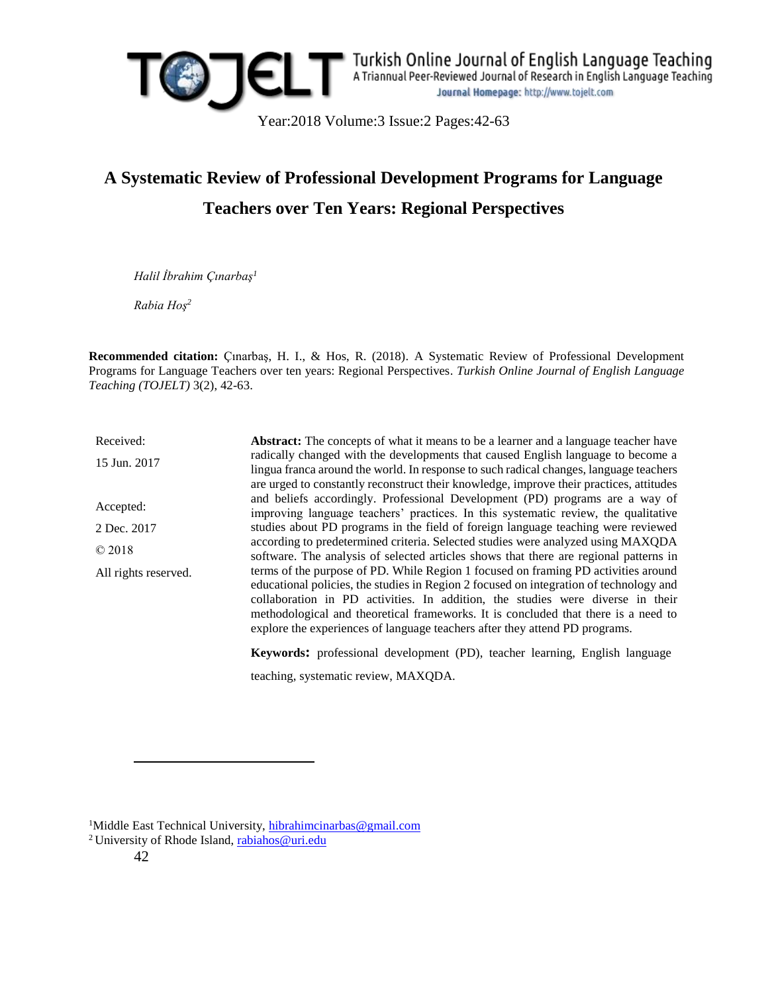

*Halil İbrahim Çınarbaş<sup>1</sup>*

*Rabia Hoş<sup>2</sup>*

**Recommended citation:** Çınarbaş, H. I., & Hos, R. (2018). A Systematic Review of Professional Development Programs for Language Teachers over ten years: Regional Perspectives. *Turkish Online Journal of English Language Teaching (TOJELT)* 3(2), 42-63.

Received: 15 Jun. 2017 Accepted: 2 Dec. 2017 © 2018 All rights reserved. **Abstract:** The concepts of what it means to be a learner and a language teacher have radically changed with the developments that caused English language to become a lingua franca around the world. In response to such radical changes, language teachers are urged to constantly reconstruct their knowledge, improve their practices, attitudes and beliefs accordingly. Professional Development (PD) programs are a way of improving language teachers' practices. In this systematic review, the qualitative studies about PD programs in the field of foreign language teaching were reviewed according to predetermined criteria. Selected studies were analyzed using MAXQDA software. The analysis of selected articles shows that there are regional patterns in terms of the purpose of PD. While Region 1 focused on framing PD activities around educational policies, the studies in Region 2 focused on integration of technology and collaboration in PD activities. In addition, the studies were diverse in their methodological and theoretical frameworks. It is concluded that there is a need to explore the experiences of language teachers after they attend PD programs.

**Keywords:** professional development (PD), teacher learning, English language teaching, systematic review, MAXQDA.

 $\overline{a}$ 

<sup>&</sup>lt;sup>1</sup>Middle East Technical University, [hibrahimcinarbas@gmail.com](mailto:hibrahimcinarbas@gmail.com)

<sup>&</sup>lt;sup>2</sup> University of Rhode Island, [rabiahos@uri.edu](mailto:rabiahos@uri.edu)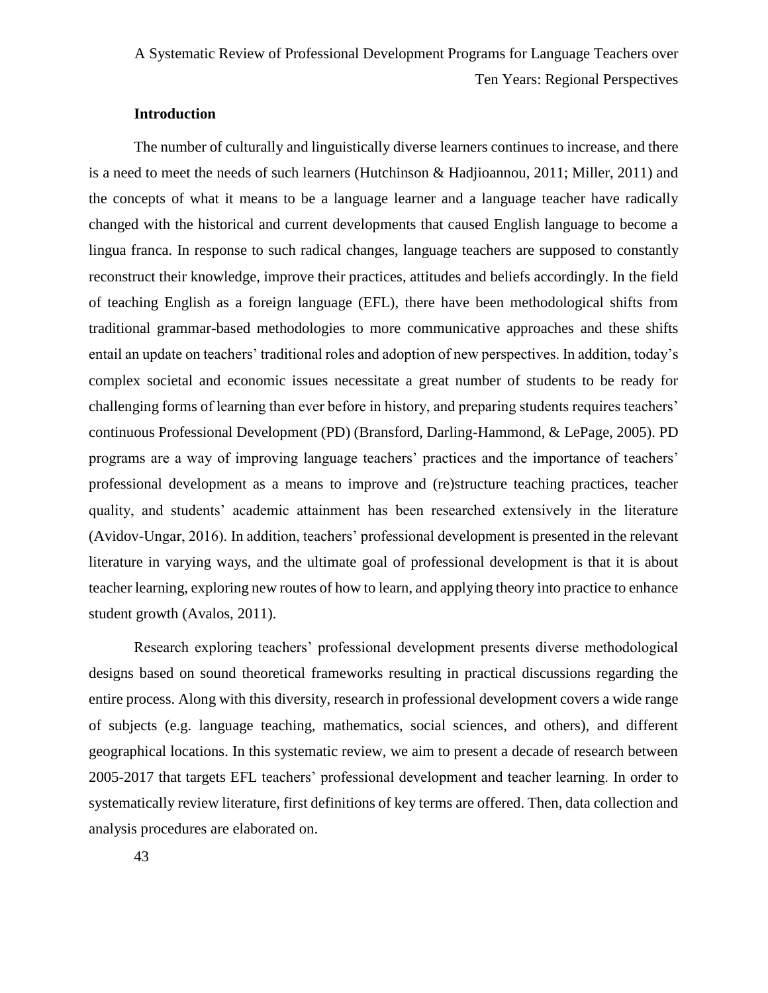# **Introduction**

The number of culturally and linguistically diverse learners continues to increase, and there is a need to meet the needs of such learners (Hutchinson & Hadjioannou, 2011; Miller, 2011) and the concepts of what it means to be a language learner and a language teacher have radically changed with the historical and current developments that caused English language to become a lingua franca. In response to such radical changes, language teachers are supposed to constantly reconstruct their knowledge, improve their practices, attitudes and beliefs accordingly. In the field of teaching English as a foreign language (EFL), there have been methodological shifts from traditional grammar-based methodologies to more communicative approaches and these shifts entail an update on teachers' traditional roles and adoption of new perspectives. In addition, today's complex societal and economic issues necessitate a great number of students to be ready for challenging forms of learning than ever before in history, and preparing students requires teachers' continuous Professional Development (PD) (Bransford, Darling-Hammond, & LePage, 2005). PD programs are a way of improving language teachers' practices and the importance of teachers' professional development as a means to improve and (re)structure teaching practices, teacher quality, and students' academic attainment has been researched extensively in the literature (Avidov-Ungar, 2016). In addition, teachers' professional development is presented in the relevant literature in varying ways, and the ultimate goal of professional development is that it is about teacher learning, exploring new routes of how to learn, and applying theory into practice to enhance student growth (Avalos, 2011).

Research exploring teachers' professional development presents diverse methodological designs based on sound theoretical frameworks resulting in practical discussions regarding the entire process. Along with this diversity, research in professional development covers a wide range of subjects (e.g. language teaching, mathematics, social sciences, and others), and different geographical locations. In this systematic review, we aim to present a decade of research between 2005-2017 that targets EFL teachers' professional development and teacher learning. In order to systematically review literature, first definitions of key terms are offered. Then, data collection and analysis procedures are elaborated on.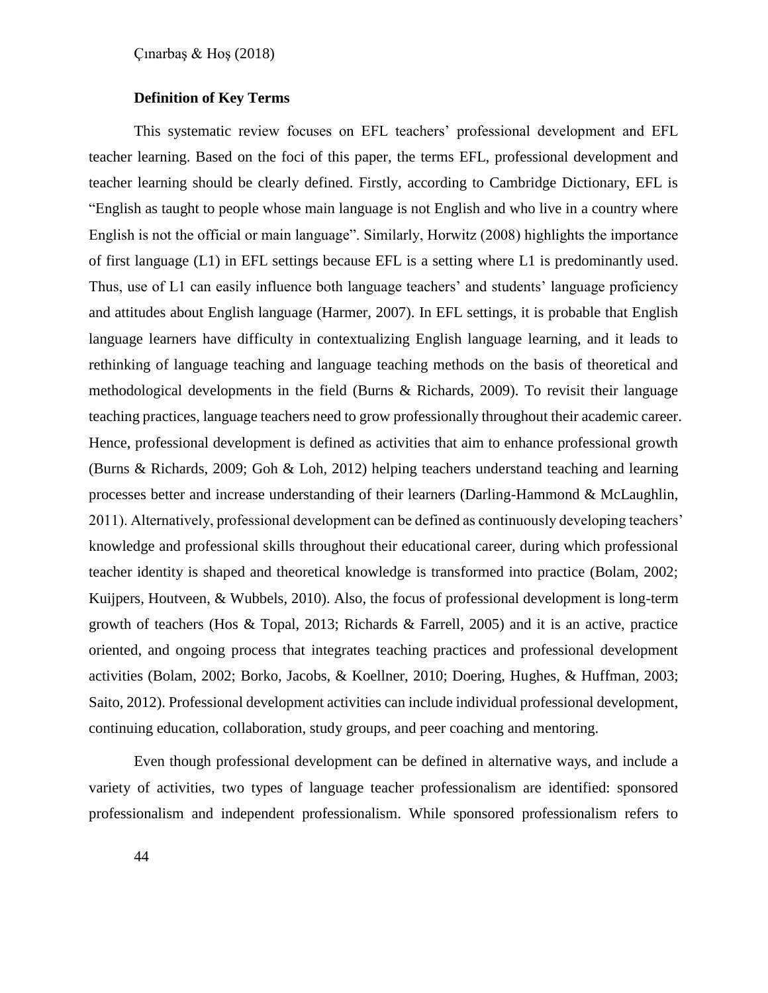# **Definition of Key Terms**

This systematic review focuses on EFL teachers' professional development and EFL teacher learning. Based on the foci of this paper, the terms EFL, professional development and teacher learning should be clearly defined. Firstly, according to Cambridge Dictionary, EFL is "English as taught to people whose main language is not English and who live in a country where English is not the official or main language". Similarly, Horwitz (2008) highlights the importance of first language (L1) in EFL settings because EFL is a setting where L1 is predominantly used. Thus, use of L1 can easily influence both language teachers' and students' language proficiency and attitudes about English language (Harmer, 2007). In EFL settings, it is probable that English language learners have difficulty in contextualizing English language learning, and it leads to rethinking of language teaching and language teaching methods on the basis of theoretical and methodological developments in the field (Burns & Richards, 2009). To revisit their language teaching practices, language teachers need to grow professionally throughout their academic career. Hence, professional development is defined as activities that aim to enhance professional growth (Burns & Richards, 2009; Goh & Loh, 2012) helping teachers understand teaching and learning processes better and increase understanding of their learners (Darling-Hammond & McLaughlin, 2011). Alternatively, professional development can be defined as continuously developing teachers' knowledge and professional skills throughout their educational career, during which professional teacher identity is shaped and theoretical knowledge is transformed into practice (Bolam, 2002; Kuijpers, Houtveen, & Wubbels, 2010). Also, the focus of professional development is long-term growth of teachers (Hos & Topal, 2013; Richards & Farrell, 2005) and it is an active, practice oriented, and ongoing process that integrates teaching practices and professional development activities (Bolam, 2002; Borko, Jacobs, & Koellner, 2010; Doering, Hughes, & Huffman, 2003; Saito, 2012). Professional development activities can include individual professional development, continuing education, collaboration, study groups, and peer coaching and mentoring.

Even though professional development can be defined in alternative ways, and include a variety of activities, two types of language teacher professionalism are identified: sponsored professionalism and independent professionalism. While sponsored professionalism refers to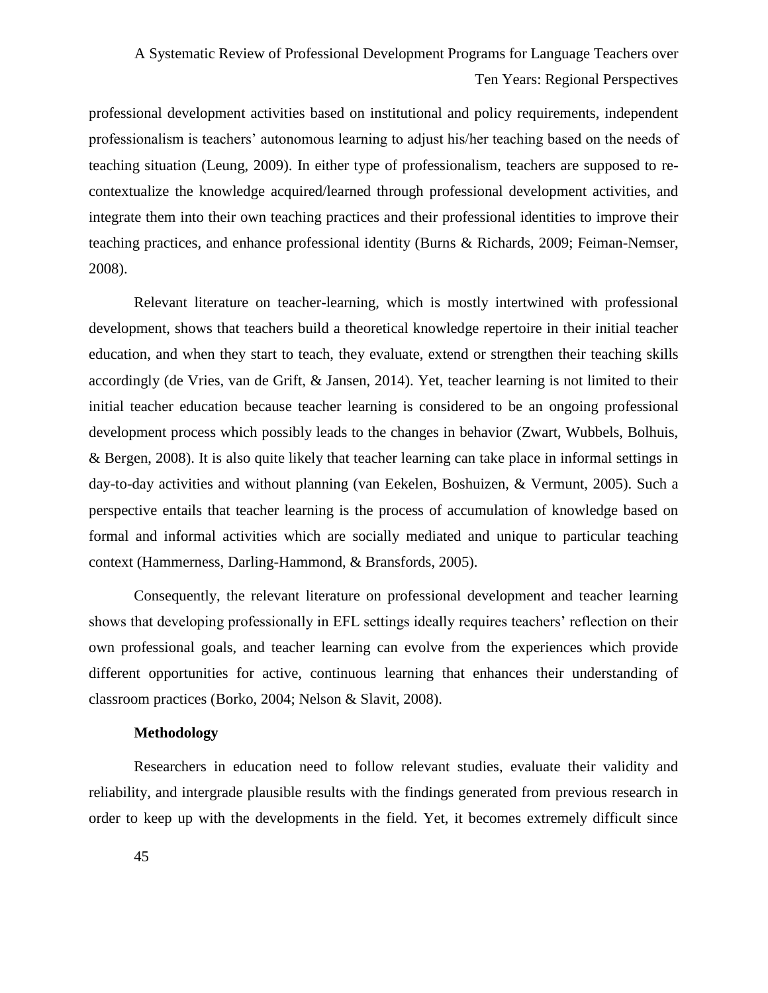professional development activities based on institutional and policy requirements, independent professionalism is teachers' autonomous learning to adjust his/her teaching based on the needs of teaching situation (Leung, 2009). In either type of professionalism, teachers are supposed to recontextualize the knowledge acquired/learned through professional development activities, and integrate them into their own teaching practices and their professional identities to improve their teaching practices, and enhance professional identity (Burns & Richards, 2009; Feiman-Nemser, 2008).

Relevant literature on teacher-learning, which is mostly intertwined with professional development, shows that teachers build a theoretical knowledge repertoire in their initial teacher education, and when they start to teach, they evaluate, extend or strengthen their teaching skills accordingly (de Vries, van de Grift, & Jansen, 2014). Yet, teacher learning is not limited to their initial teacher education because teacher learning is considered to be an ongoing professional development process which possibly leads to the changes in behavior (Zwart, Wubbels, Bolhuis, & Bergen, 2008). It is also quite likely that teacher learning can take place in informal settings in day-to-day activities and without planning (van Eekelen, Boshuizen, & Vermunt, 2005). Such a perspective entails that teacher learning is the process of accumulation of knowledge based on formal and informal activities which are socially mediated and unique to particular teaching context (Hammerness, Darling-Hammond, & Bransfords, 2005).

Consequently, the relevant literature on professional development and teacher learning shows that developing professionally in EFL settings ideally requires teachers' reflection on their own professional goals, and teacher learning can evolve from the experiences which provide different opportunities for active, continuous learning that enhances their understanding of classroom practices (Borko, 2004; Nelson & Slavit, 2008).

# **Methodology**

Researchers in education need to follow relevant studies, evaluate their validity and reliability, and intergrade plausible results with the findings generated from previous research in order to keep up with the developments in the field. Yet, it becomes extremely difficult since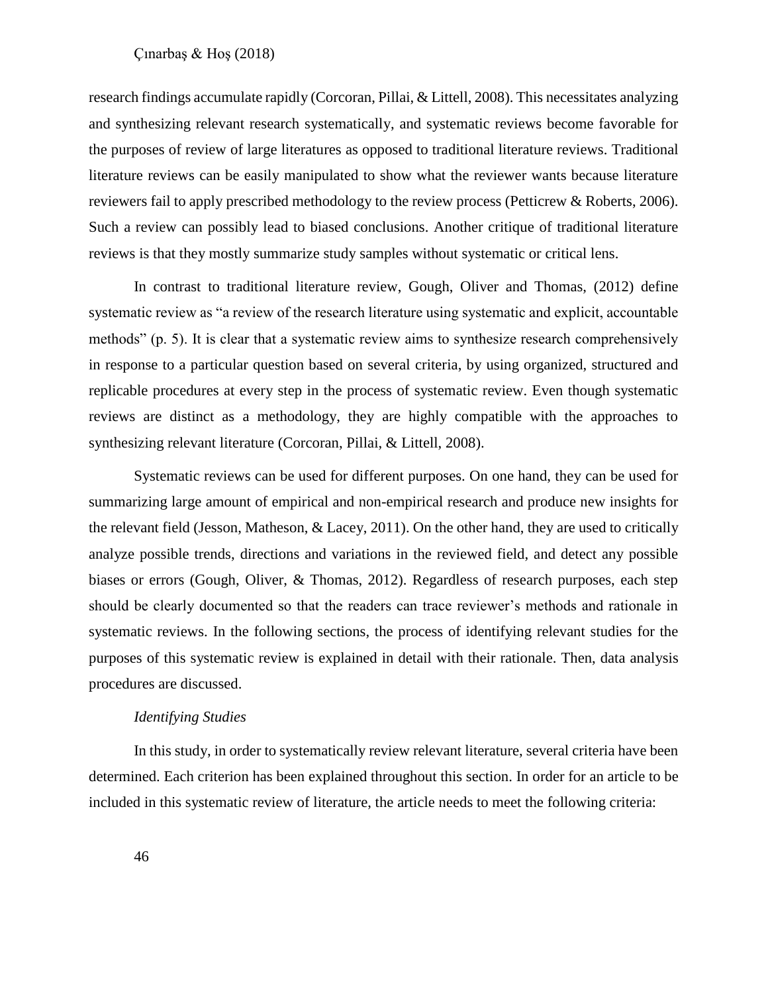research findings accumulate rapidly (Corcoran, Pillai, & Littell, 2008). This necessitates analyzing and synthesizing relevant research systematically, and systematic reviews become favorable for the purposes of review of large literatures as opposed to traditional literature reviews. Traditional literature reviews can be easily manipulated to show what the reviewer wants because literature reviewers fail to apply prescribed methodology to the review process (Petticrew & Roberts, 2006). Such a review can possibly lead to biased conclusions. Another critique of traditional literature reviews is that they mostly summarize study samples without systematic or critical lens.

In contrast to traditional literature review, Gough, Oliver and Thomas, (2012) define systematic review as "a review of the research literature using systematic and explicit, accountable methods" (p. 5). It is clear that a systematic review aims to synthesize research comprehensively in response to a particular question based on several criteria, by using organized, structured and replicable procedures at every step in the process of systematic review. Even though systematic reviews are distinct as a methodology, they are highly compatible with the approaches to synthesizing relevant literature (Corcoran, Pillai, & Littell, 2008).

Systematic reviews can be used for different purposes. On one hand, they can be used for summarizing large amount of empirical and non-empirical research and produce new insights for the relevant field (Jesson, Matheson, & Lacey, 2011). On the other hand, they are used to critically analyze possible trends, directions and variations in the reviewed field, and detect any possible biases or errors (Gough, Oliver, & Thomas, 2012). Regardless of research purposes, each step should be clearly documented so that the readers can trace reviewer's methods and rationale in systematic reviews. In the following sections, the process of identifying relevant studies for the purposes of this systematic review is explained in detail with their rationale. Then, data analysis procedures are discussed.

## *Identifying Studies*

In this study, in order to systematically review relevant literature, several criteria have been determined. Each criterion has been explained throughout this section. In order for an article to be included in this systematic review of literature, the article needs to meet the following criteria: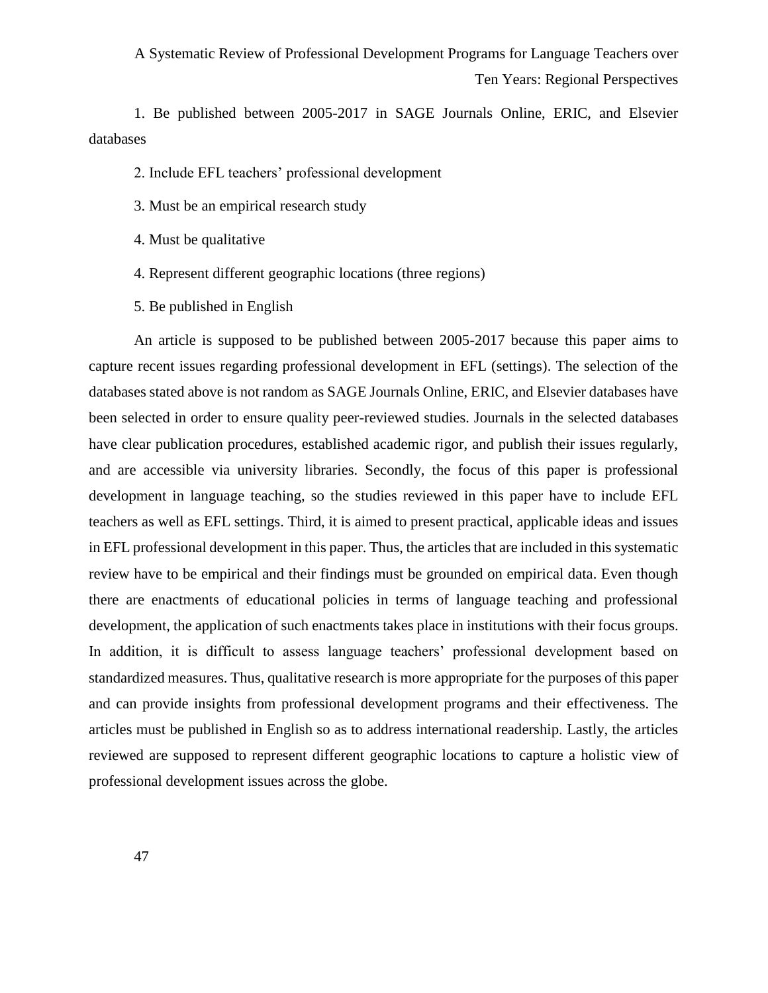1. Be published between 2005-2017 in SAGE Journals Online, ERIC, and Elsevier databases

2. Include EFL teachers' professional development

- 3. Must be an empirical research study
- 4. Must be qualitative
- 4. Represent different geographic locations (three regions)
- 5. Be published in English

An article is supposed to be published between 2005-2017 because this paper aims to capture recent issues regarding professional development in EFL (settings). The selection of the databases stated above is not random as SAGE Journals Online, ERIC, and Elsevier databases have been selected in order to ensure quality peer-reviewed studies. Journals in the selected databases have clear publication procedures, established academic rigor, and publish their issues regularly, and are accessible via university libraries. Secondly, the focus of this paper is professional development in language teaching, so the studies reviewed in this paper have to include EFL teachers as well as EFL settings. Third, it is aimed to present practical, applicable ideas and issues in EFL professional development in this paper. Thus, the articles that are included in this systematic review have to be empirical and their findings must be grounded on empirical data. Even though there are enactments of educational policies in terms of language teaching and professional development, the application of such enactments takes place in institutions with their focus groups. In addition, it is difficult to assess language teachers' professional development based on standardized measures. Thus, qualitative research is more appropriate for the purposes of this paper and can provide insights from professional development programs and their effectiveness. The articles must be published in English so as to address international readership. Lastly, the articles reviewed are supposed to represent different geographic locations to capture a holistic view of professional development issues across the globe.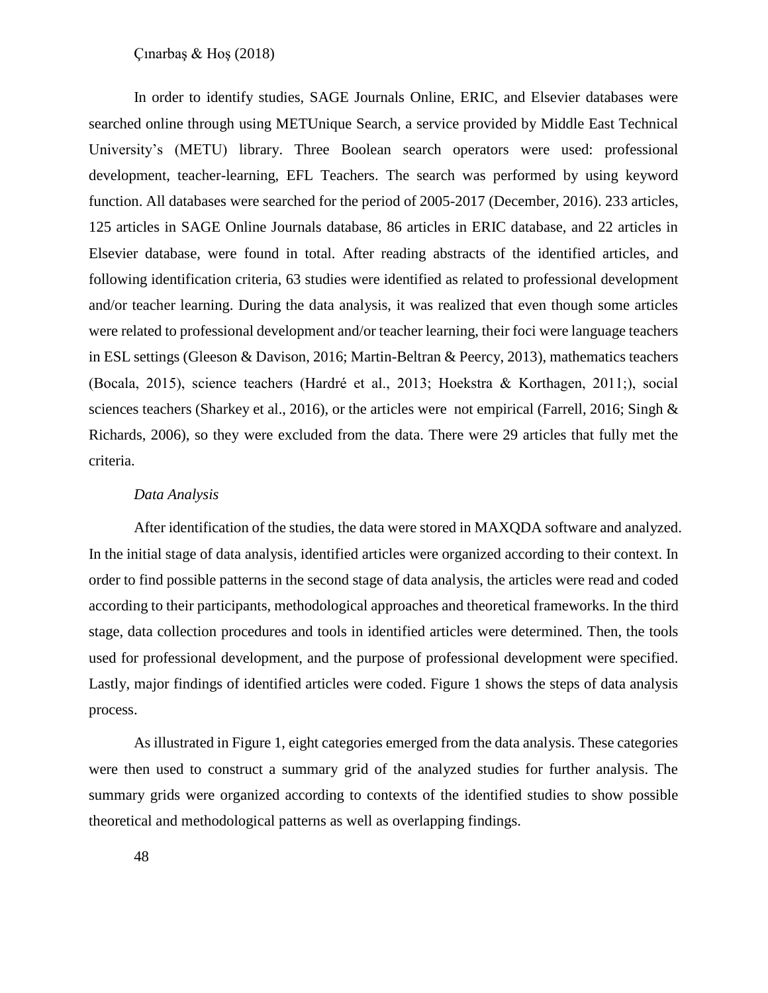In order to identify studies, SAGE Journals Online, ERIC, and Elsevier databases were searched online through using METUnique Search, a service provided by Middle East Technical University's (METU) library. Three Boolean search operators were used: professional development, teacher-learning, EFL Teachers. The search was performed by using keyword function. All databases were searched for the period of 2005-2017 (December, 2016). 233 articles, 125 articles in SAGE Online Journals database, 86 articles in ERIC database, and 22 articles in Elsevier database, were found in total. After reading abstracts of the identified articles, and following identification criteria, 63 studies were identified as related to professional development and/or teacher learning. During the data analysis, it was realized that even though some articles were related to professional development and/or teacher learning, their foci were language teachers in ESL settings (Gleeson & Davison, 2016; Martin-Beltran & Peercy, 2013), mathematics teachers (Bocala, 2015), science teachers (Hardré et al., 2013; Hoekstra & Korthagen, 2011;), social sciences teachers (Sharkey et al., 2016), or the articles were not empirical (Farrell, 2016; Singh & Richards, 2006), so they were excluded from the data. There were 29 articles that fully met the criteria.

#### *Data Analysis*

After identification of the studies, the data were stored in MAXQDA software and analyzed. In the initial stage of data analysis, identified articles were organized according to their context. In order to find possible patterns in the second stage of data analysis, the articles were read and coded according to their participants, methodological approaches and theoretical frameworks. In the third stage, data collection procedures and tools in identified articles were determined. Then, the tools used for professional development, and the purpose of professional development were specified. Lastly, major findings of identified articles were coded. Figure 1 shows the steps of data analysis process.

As illustrated in Figure 1, eight categories emerged from the data analysis. These categories were then used to construct a summary grid of the analyzed studies for further analysis. The summary grids were organized according to contexts of the identified studies to show possible theoretical and methodological patterns as well as overlapping findings.

48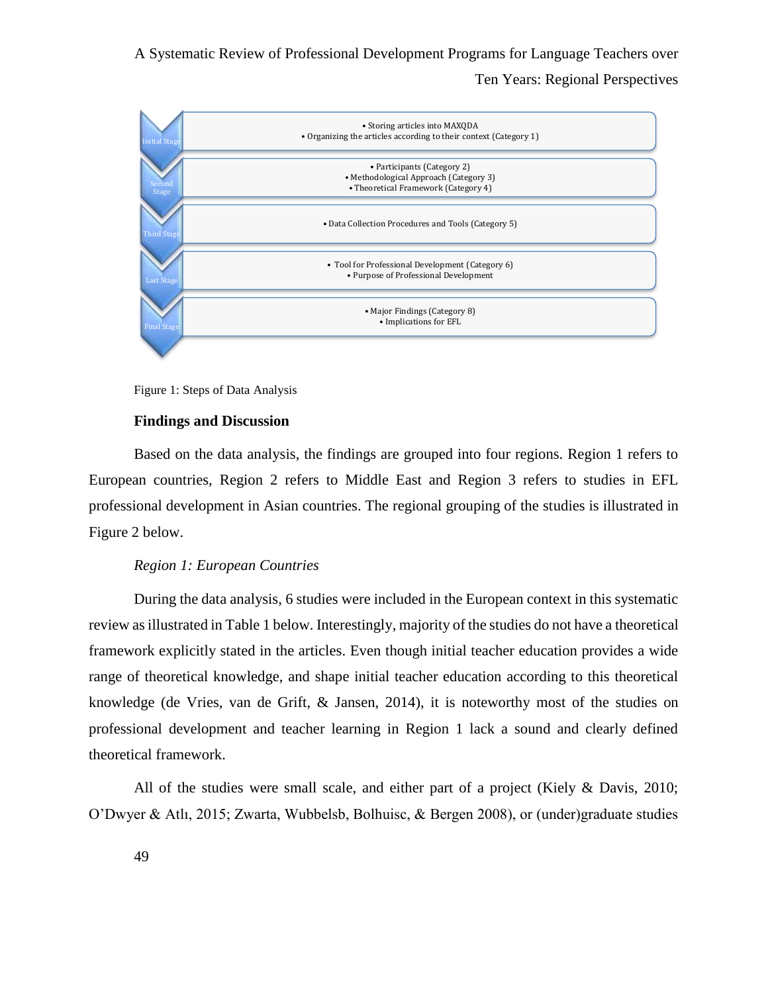

Figure 1: Steps of Data Analysis

# **Findings and Discussion**

Based on the data analysis, the findings are grouped into four regions. Region 1 refers to European countries, Region 2 refers to Middle East and Region 3 refers to studies in EFL professional development in Asian countries. The regional grouping of the studies is illustrated in Figure 2 below.

#### *Region 1: European Countries*

During the data analysis, 6 studies were included in the European context in this systematic review as illustrated in Table 1 below. Interestingly, majority of the studies do not have a theoretical framework explicitly stated in the articles. Even though initial teacher education provides a wide range of theoretical knowledge, and shape initial teacher education according to this theoretical knowledge (de Vries, van de Grift, & Jansen, 2014), it is noteworthy most of the studies on professional development and teacher learning in Region 1 lack a sound and clearly defined theoretical framework.

All of the studies were small scale, and either part of a project (Kiely & Davis, 2010; O'Dwyer & Atlı, 2015; Zwarta, Wubbelsb, Bolhuisc, & Bergen 2008), or (under)graduate studies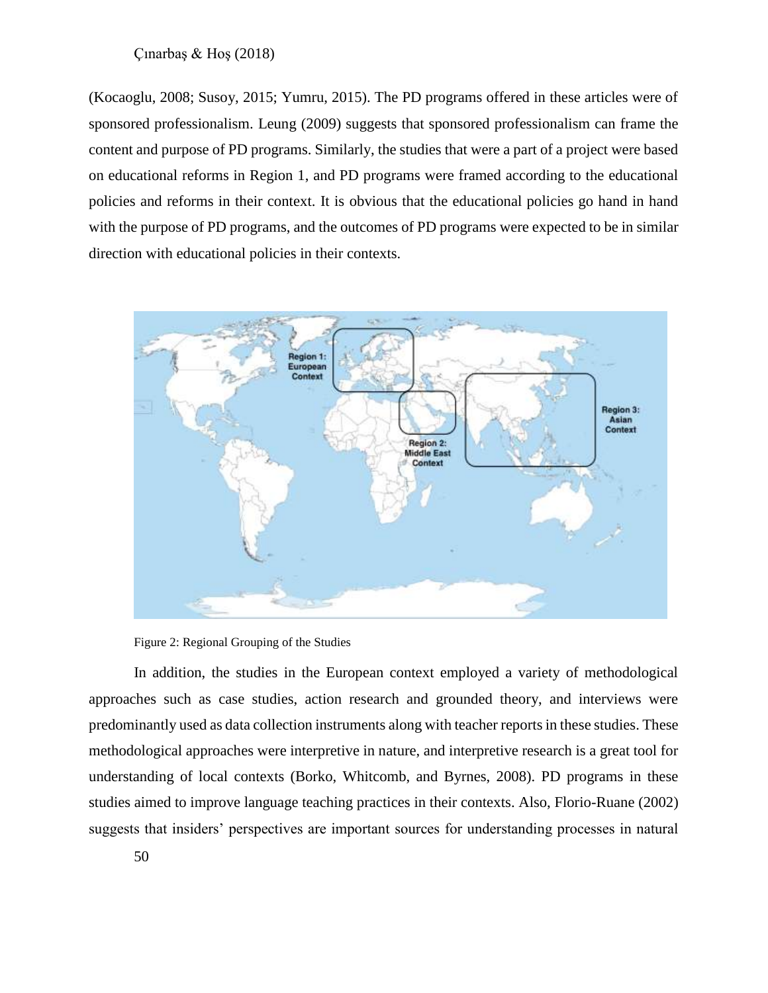(Kocaoglu, 2008; Susoy, 2015; Yumru, 2015). The PD programs offered in these articles were of sponsored professionalism. Leung (2009) suggests that sponsored professionalism can frame the content and purpose of PD programs. Similarly, the studies that were a part of a project were based on educational reforms in Region 1, and PD programs were framed according to the educational policies and reforms in their context. It is obvious that the educational policies go hand in hand with the purpose of PD programs, and the outcomes of PD programs were expected to be in similar direction with educational policies in their contexts.



Figure 2: Regional Grouping of the Studies

In addition, the studies in the European context employed a variety of methodological approaches such as case studies, action research and grounded theory, and interviews were predominantly used as data collection instruments along with teacher reports in these studies. These methodological approaches were interpretive in nature, and interpretive research is a great tool for understanding of local contexts (Borko, Whitcomb, and Byrnes, 2008). PD programs in these studies aimed to improve language teaching practices in their contexts. Also, Florio-Ruane (2002) suggests that insiders' perspectives are important sources for understanding processes in natural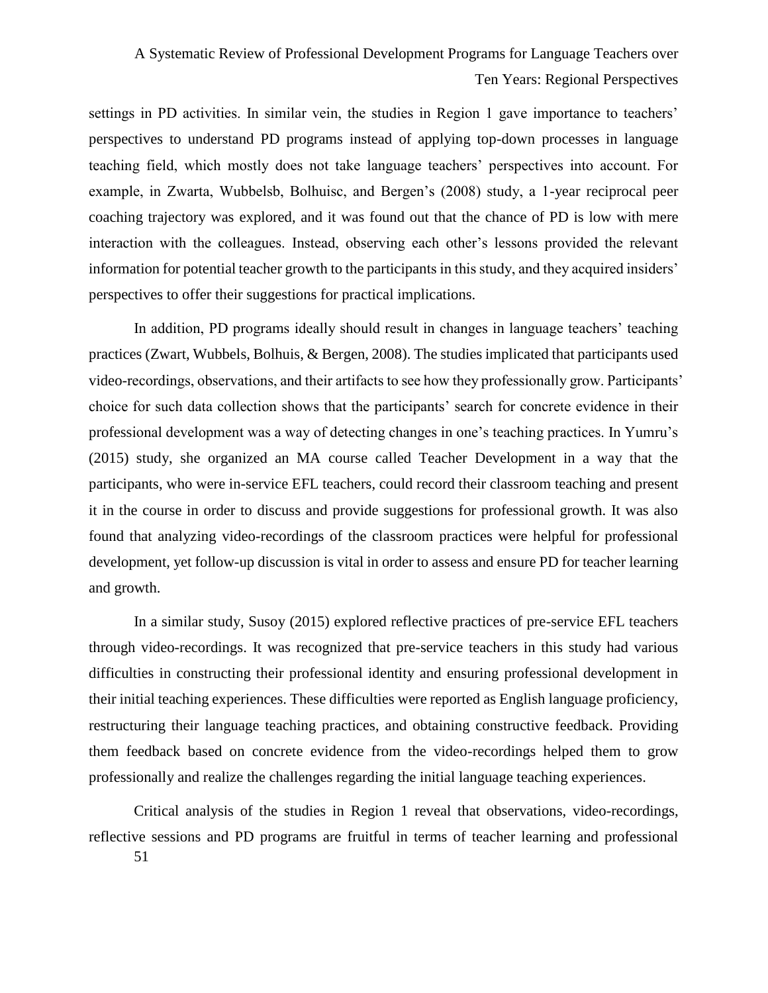settings in PD activities. In similar vein, the studies in Region 1 gave importance to teachers' perspectives to understand PD programs instead of applying top-down processes in language teaching field, which mostly does not take language teachers' perspectives into account. For example, in Zwarta, Wubbelsb, Bolhuisc, and Bergen's (2008) study, a 1-year reciprocal peer coaching trajectory was explored, and it was found out that the chance of PD is low with mere interaction with the colleagues. Instead, observing each other's lessons provided the relevant information for potential teacher growth to the participants in this study, and they acquired insiders' perspectives to offer their suggestions for practical implications.

In addition, PD programs ideally should result in changes in language teachers' teaching practices (Zwart, Wubbels, Bolhuis, & Bergen, 2008). The studies implicated that participants used video-recordings, observations, and their artifacts to see how they professionally grow. Participants' choice for such data collection shows that the participants' search for concrete evidence in their professional development was a way of detecting changes in one's teaching practices. In Yumru's (2015) study, she organized an MA course called Teacher Development in a way that the participants, who were in-service EFL teachers, could record their classroom teaching and present it in the course in order to discuss and provide suggestions for professional growth. It was also found that analyzing video-recordings of the classroom practices were helpful for professional development, yet follow-up discussion is vital in order to assess and ensure PD for teacher learning and growth.

In a similar study, Susoy (2015) explored reflective practices of pre-service EFL teachers through video-recordings. It was recognized that pre-service teachers in this study had various difficulties in constructing their professional identity and ensuring professional development in their initial teaching experiences. These difficulties were reported as English language proficiency, restructuring their language teaching practices, and obtaining constructive feedback. Providing them feedback based on concrete evidence from the video-recordings helped them to grow professionally and realize the challenges regarding the initial language teaching experiences.

Critical analysis of the studies in Region 1 reveal that observations, video-recordings, reflective sessions and PD programs are fruitful in terms of teacher learning and professional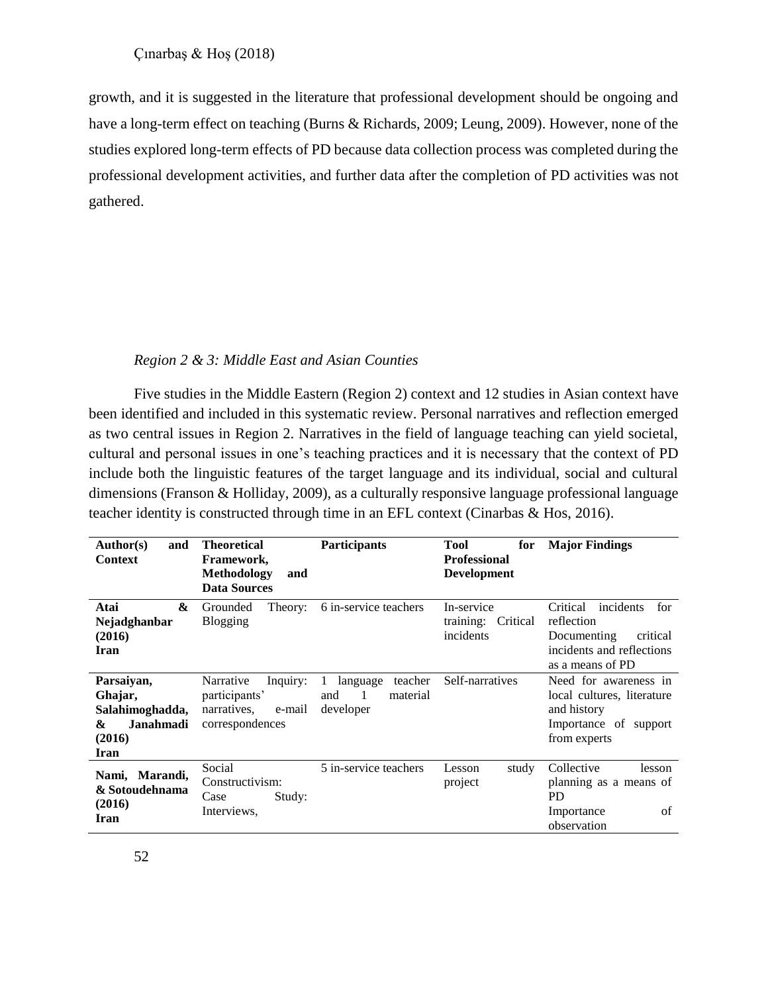growth, and it is suggested in the literature that professional development should be ongoing and have a long-term effect on teaching (Burns & Richards, 2009; Leung, 2009). However, none of the studies explored long-term effects of PD because data collection process was completed during the professional development activities, and further data after the completion of PD activities was not gathered.

#### *Region 2 & 3: Middle East and Asian Counties*

Five studies in the Middle Eastern (Region 2) context and 12 studies in Asian context have been identified and included in this systematic review. Personal narratives and reflection emerged as two central issues in Region 2. Narratives in the field of language teaching can yield societal, cultural and personal issues in one's teaching practices and it is necessary that the context of PD include both the linguistic features of the target language and its individual, social and cultural dimensions (Franson & Holliday, 2009), as a culturally responsive language professional language teacher identity is constructed through time in an EFL context (Cinarbas & Hos, 2016).

| <b>Author(s)</b><br>and<br><b>Context</b>                                           | <b>Theoretical</b><br>Framework,<br>Methodology<br>and<br><b>Data Sources</b>      | <b>Participants</b>                                       | <b>Tool</b><br>for<br><b>Professional</b><br><b>Development</b> | <b>Major Findings</b>                                                                                                  |
|-------------------------------------------------------------------------------------|------------------------------------------------------------------------------------|-----------------------------------------------------------|-----------------------------------------------------------------|------------------------------------------------------------------------------------------------------------------------|
| &<br>Atai<br>Nejadghanbar<br>(2016)<br>Iran                                         | Grounded<br>Theory:<br><b>Blogging</b>                                             | 6 in-service teachers                                     | In-service<br>training:<br>Critical<br>incidents                | incidents<br>Critical<br>for<br>reflection<br>Documenting<br>critical<br>incidents and reflections<br>as a means of PD |
| Parsaiyan,<br>Ghajar,<br>Salahimoghadda,<br><b>Janahmadi</b><br>&<br>(2016)<br>Iran | Narrative<br>Inquiry:<br>participants'<br>narratives,<br>e-mail<br>correspondences | teacher<br>language<br>and<br>-1<br>material<br>developer | Self-narratives                                                 | Need for awareness in<br>local cultures, literature<br>and history<br>Importance of support<br>from experts            |
| Nami, Marandi,<br>& Sotoudehnama<br>(2016)<br>Iran                                  | Social<br>Constructivism:<br>Case<br>Study:<br>Interviews,                         | 5 in-service teachers                                     | Lesson<br>study<br>project                                      | Collective<br>lesson<br>planning as a means of<br>PD.<br>of<br>Importance<br>observation                               |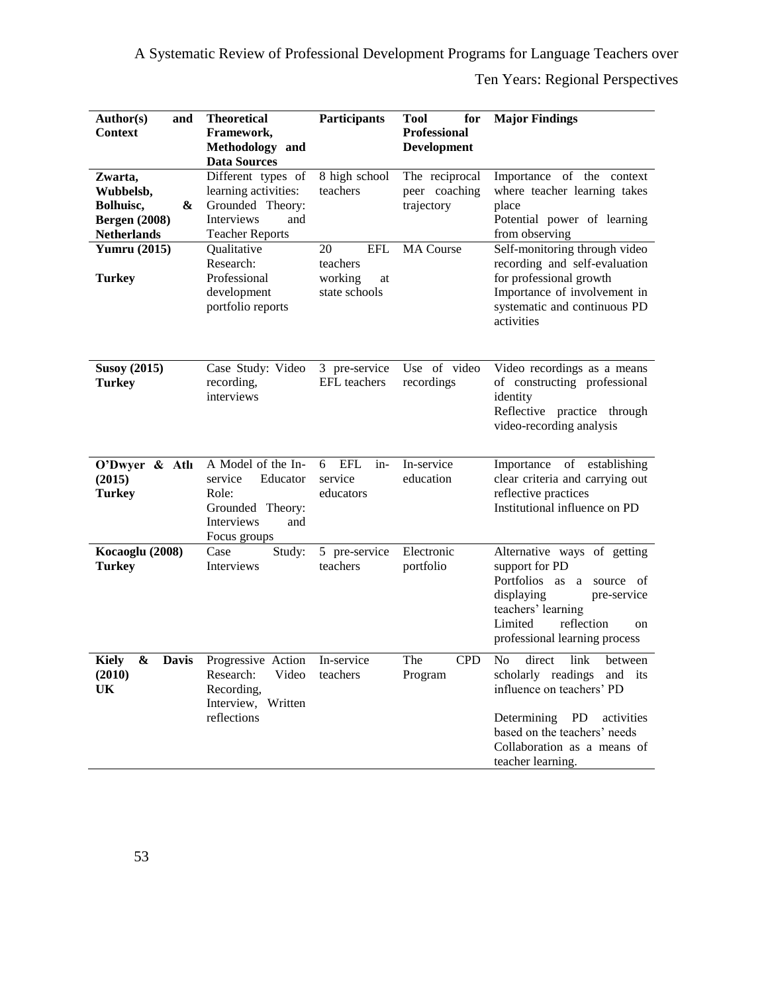| <b>Author(s)</b><br>and<br><b>Context</b>                                            | <b>Theoretical</b><br>Framework,<br>Methodology and<br><b>Data Sources</b>                                    | Participants                                                   | <b>Tool</b><br>for<br><b>Professional</b><br>Development | <b>Major Findings</b>                                                                                                                                                                                                         |
|--------------------------------------------------------------------------------------|---------------------------------------------------------------------------------------------------------------|----------------------------------------------------------------|----------------------------------------------------------|-------------------------------------------------------------------------------------------------------------------------------------------------------------------------------------------------------------------------------|
| Zwarta,<br>Wubbelsb,<br>Bolhuisc,<br>&<br><b>Bergen</b> (2008)<br><b>Netherlands</b> | Different types of<br>learning activities:<br>Grounded Theory:<br>Interviews<br>and<br><b>Teacher Reports</b> | 8 high school<br>teachers                                      | The reciprocal<br>peer coaching<br>trajectory            | Importance of the context<br>where teacher learning takes<br>place<br>Potential power of learning<br>from observing                                                                                                           |
| <b>Yumru</b> (2015)<br><b>Turkey</b>                                                 | Qualitative<br>Research:<br>Professional<br>development<br>portfolio reports                                  | 20<br><b>EFL</b><br>teachers<br>working<br>at<br>state schools | <b>MA</b> Course                                         | Self-monitoring through video<br>recording and self-evaluation<br>for professional growth<br>Importance of involvement in<br>systematic and continuous PD<br>activities                                                       |
| <b>Susoy (2015)</b><br><b>Turkey</b>                                                 | Case Study: Video<br>recording,<br>interviews                                                                 | 3 pre-service<br>EFL teachers                                  | Use of video<br>recordings                               | Video recordings as a means<br>of constructing professional<br>identity<br>Reflective practice through<br>video-recording analysis                                                                                            |
| O'Dwyer & Atlı<br>(2015)<br><b>Turkey</b>                                            | A Model of the In-<br>Educator<br>service<br>Role:<br>Grounded Theory:<br>Interviews<br>and<br>Focus groups   | in-<br>6<br>EFL<br>service<br>educators                        | In-service<br>education                                  | Importance of establishing<br>clear criteria and carrying out<br>reflective practices<br>Institutional influence on PD                                                                                                        |
| Kocaoglu (2008)<br><b>Turkey</b>                                                     | Case<br>Study:<br>Interviews                                                                                  | 5 pre-service<br>teachers                                      | Electronic<br>portfolio                                  | Alternative ways of getting<br>support for PD<br>Portfolios as a source<br>0f<br>displaying<br>pre-service<br>teachers' learning<br>reflection<br>Limited<br>on<br>professional learning process                              |
| <b>Kiely</b><br>&<br><b>Davis</b><br>(2010)<br>UK                                    | Progressive Action<br>Research:<br>Video<br>Recording,<br>Interview, Written<br>reflections                   | In-service<br>teachers                                         | The<br><b>CPD</b><br>Program                             | N <sub>o</sub><br>link<br>direct<br>between<br>scholarly readings and its<br>influence on teachers' PD<br>Determining<br>PD<br>activities<br>based on the teachers' needs<br>Collaboration as a means of<br>teacher learning. |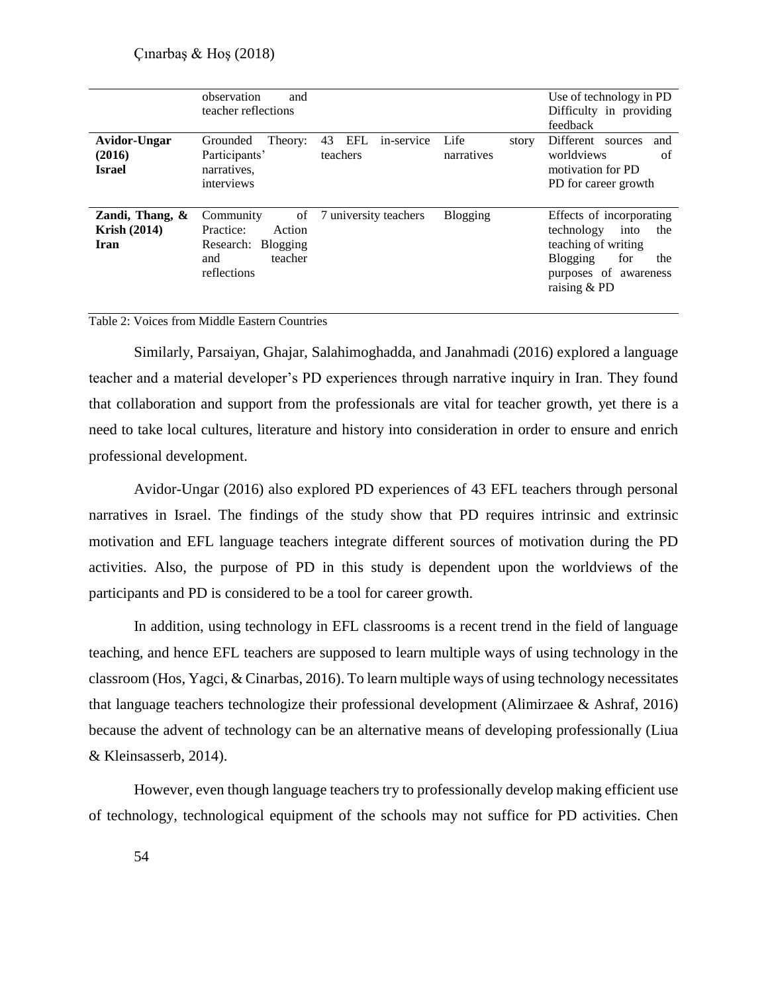|                                                   | observation<br>and<br>teacher reflections                                                        |                                            |                             | Use of technology in PD<br>Difficulty in providing<br>feedback                                                                                         |
|---------------------------------------------------|--------------------------------------------------------------------------------------------------|--------------------------------------------|-----------------------------|--------------------------------------------------------------------------------------------------------------------------------------------------------|
| Avidor-Ungar<br>(2016)<br><b>Israel</b>           | Grounded<br>Theory:<br>Participants'<br>narratives,<br>interviews                                | <b>EFL</b><br>43<br>in-service<br>teachers | Life<br>story<br>narratives | Different<br>sources<br>and<br>worldviews<br>of<br>motivation for PD<br>PD for career growth                                                           |
| Zandi, Thang, $\&$<br><b>Krish (2014)</b><br>Iran | Community<br>of<br>Practice:<br>Action<br>Blogging<br>Research:<br>teacher<br>and<br>reflections | 7 university teachers                      | Blogging                    | Effects of incorporating<br>the<br>technology<br>into<br>teaching of writing<br>for<br><b>Blogging</b><br>the<br>purposes of awareness<br>raising & PD |

Table 2: Voices from Middle Eastern Countries

Similarly, Parsaiyan, Ghajar, Salahimoghadda, and Janahmadi (2016) explored a language teacher and a material developer's PD experiences through narrative inquiry in Iran. They found that collaboration and support from the professionals are vital for teacher growth, yet there is a need to take local cultures, literature and history into consideration in order to ensure and enrich professional development.

Avidor-Ungar (2016) also explored PD experiences of 43 EFL teachers through personal narratives in Israel. The findings of the study show that PD requires intrinsic and extrinsic motivation and EFL language teachers integrate different sources of motivation during the PD activities. Also, the purpose of PD in this study is dependent upon the worldviews of the participants and PD is considered to be a tool for career growth.

In addition, using technology in EFL classrooms is a recent trend in the field of language teaching, and hence EFL teachers are supposed to learn multiple ways of using technology in the classroom (Hos, Yagci, & Cinarbas, 2016). To learn multiple ways of using technology necessitates that language teachers technologize their professional development (Alimirzaee & Ashraf, 2016) because the advent of technology can be an alternative means of developing professionally (Liua & Kleinsasserb, 2014).

However, even though language teachers try to professionally develop making efficient use of technology, technological equipment of the schools may not suffice for PD activities. Chen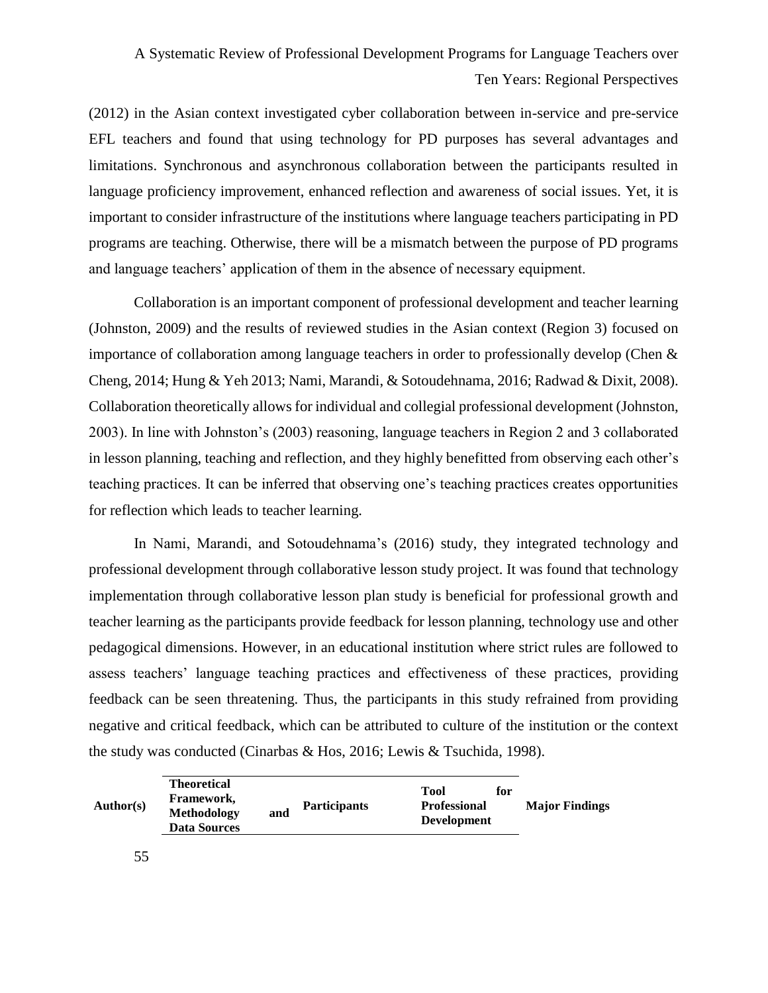(2012) in the Asian context investigated cyber collaboration between in-service and pre-service EFL teachers and found that using technology for PD purposes has several advantages and limitations. Synchronous and asynchronous collaboration between the participants resulted in language proficiency improvement, enhanced reflection and awareness of social issues. Yet, it is important to consider infrastructure of the institutions where language teachers participating in PD programs are teaching. Otherwise, there will be a mismatch between the purpose of PD programs and language teachers' application of them in the absence of necessary equipment.

Collaboration is an important component of professional development and teacher learning (Johnston, 2009) and the results of reviewed studies in the Asian context (Region 3) focused on importance of collaboration among language teachers in order to professionally develop (Chen  $\&$ Cheng, 2014; Hung & Yeh 2013; Nami, Marandi, & Sotoudehnama, 2016; Radwad & Dixit, 2008). Collaboration theoretically allows for individual and collegial professional development (Johnston, 2003). In line with Johnston's (2003) reasoning, language teachers in Region 2 and 3 collaborated in lesson planning, teaching and reflection, and they highly benefitted from observing each other's teaching practices. It can be inferred that observing one's teaching practices creates opportunities for reflection which leads to teacher learning.

In Nami, Marandi, and Sotoudehnama's (2016) study, they integrated technology and professional development through collaborative lesson study project. It was found that technology implementation through collaborative lesson plan study is beneficial for professional growth and teacher learning as the participants provide feedback for lesson planning, technology use and other pedagogical dimensions. However, in an educational institution where strict rules are followed to assess teachers' language teaching practices and effectiveness of these practices, providing feedback can be seen threatening. Thus, the participants in this study refrained from providing negative and critical feedback, which can be attributed to culture of the institution or the context the study was conducted (Cinarbas & Hos, 2016; Lewis & Tsuchida, 1998).

| Author(s) | Theoretical<br>Framework,<br><b>Methodology</b><br><b>Data Sources</b> | and | <b>Participants</b> | Tool<br><b>Professional</b><br><b>Development</b> | for | <b>Major Findings</b> |
|-----------|------------------------------------------------------------------------|-----|---------------------|---------------------------------------------------|-----|-----------------------|
|-----------|------------------------------------------------------------------------|-----|---------------------|---------------------------------------------------|-----|-----------------------|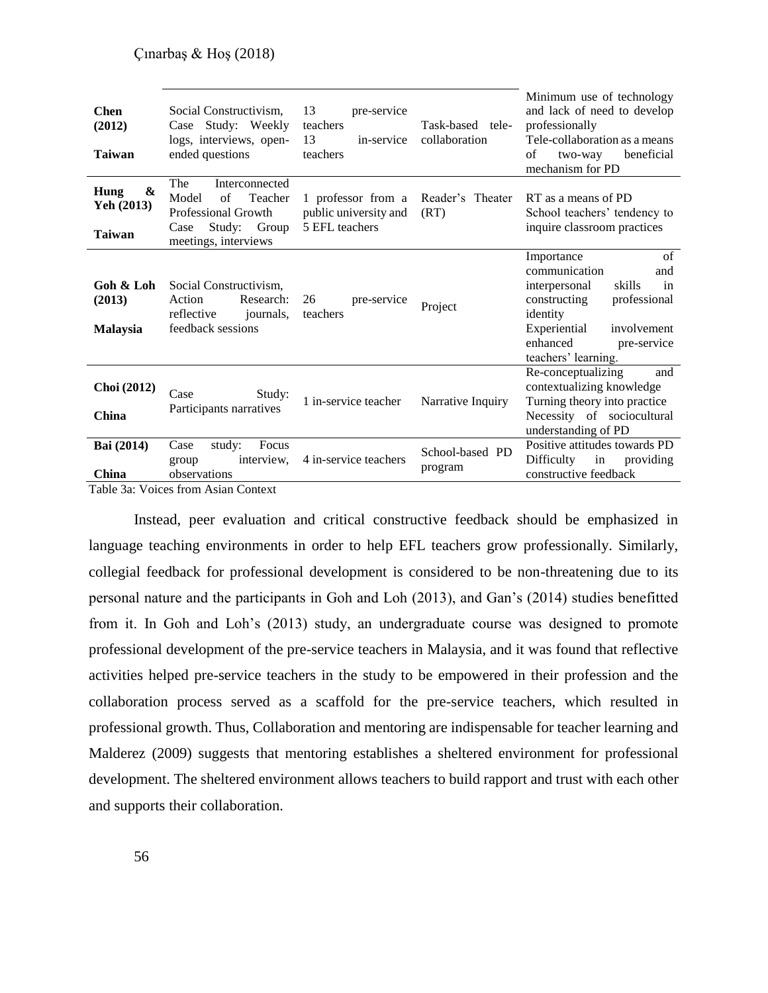| <b>Chen</b><br>(2012)<br><b>Taiwan</b>                       | Social Constructivism.<br>Case Study: Weekly<br>logs, interviews, open-<br>ended questions                                    | 13<br>pre-service<br>teachers<br>13<br>in-service<br>teachers | Task-based tele-<br>collaboration | Minimum use of technology<br>and lack of need to develop<br>professionally<br>Tele-collaboration as a means<br>of<br>beneficial<br>two-way<br>mechanism for PD                                         |
|--------------------------------------------------------------|-------------------------------------------------------------------------------------------------------------------------------|---------------------------------------------------------------|-----------------------------------|--------------------------------------------------------------------------------------------------------------------------------------------------------------------------------------------------------|
| $\boldsymbol{\alpha}$<br>Hung<br>Yeh (2013)<br><b>Taiwan</b> | The<br>Interconnected<br>Teacher<br>Model<br>of<br><b>Professional Growth</b><br>Study: Group<br>Case<br>meetings, interviews | 1 professor from a<br>public university and<br>5 EFL teachers | Reader's Theater<br>(RT)          | RT as a means of PD<br>School teachers' tendency to<br>inquire classroom practices                                                                                                                     |
| Goh & Loh<br>(2013)<br><b>Malaysia</b>                       | Social Constructivism,<br>Action<br>Research:<br>reflective<br>journals,<br>feedback sessions                                 | 26<br>pre-service<br>teachers                                 | Project                           | of<br>Importance<br>communication<br>and<br>interpersonal<br>skills<br>in<br>constructing<br>professional<br>identity<br>Experiential<br>involvement<br>enhanced<br>pre-service<br>teachers' learning. |
| <b>Choi</b> (2012)<br>China                                  | Case<br>Study:<br>Participants narratives                                                                                     | 1 in-service teacher                                          | Narrative Inquiry                 | Re-conceptualizing<br>and<br>contextualizing knowledge<br>Turning theory into practice<br>Necessity of sociocultural<br>understanding of PD                                                            |
| Bai (2014)<br>China                                          | Focus<br>Case<br>study:<br>interview,<br>group<br>observations<br>Tahla 3a: Voices from Asian Context                         | 4 in-service teachers                                         | School-based PD<br>program        | Positive attitudes towards PD<br>Difficulty<br>providing<br>in<br>constructive feedback                                                                                                                |

Table 3a: Voices from Asian Context

Instead, peer evaluation and critical constructive feedback should be emphasized in language teaching environments in order to help EFL teachers grow professionally. Similarly, collegial feedback for professional development is considered to be non-threatening due to its personal nature and the participants in Goh and Loh (2013), and Gan's (2014) studies benefitted from it. In Goh and Loh's (2013) study, an undergraduate course was designed to promote professional development of the pre-service teachers in Malaysia, and it was found that reflective activities helped pre-service teachers in the study to be empowered in their profession and the collaboration process served as a scaffold for the pre-service teachers, which resulted in professional growth. Thus, Collaboration and mentoring are indispensable for teacher learning and Malderez (2009) suggests that mentoring establishes a sheltered environment for professional development. The sheltered environment allows teachers to build rapport and trust with each other and supports their collaboration.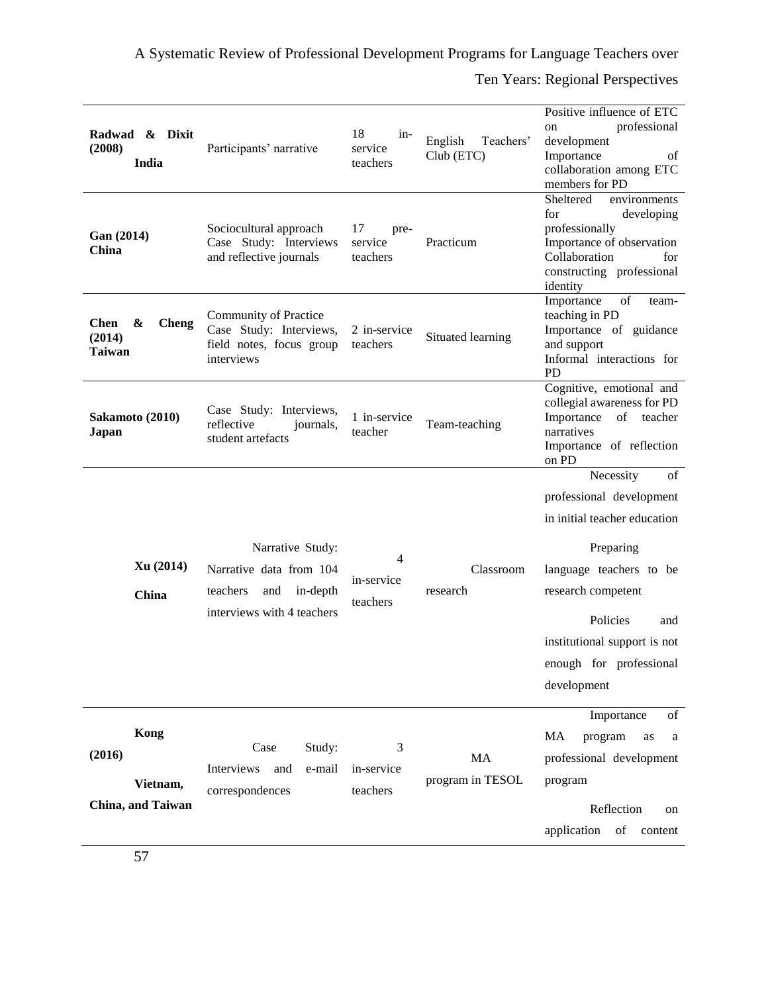A Systematic Review of Professional Development Programs for Language Teachers over

Ten Years: Regional Perspectives

| Radwad & Dixit<br>(2008)<br>India                           | Participants' narrative                                                                                  | 18<br>$in-$<br>service<br>teachers | English<br>Teachers'<br>Club (ETC) | Positive influence of ETC<br>professional<br>on<br>development<br>Importance<br>οf<br>collaboration among ETC<br>members for PD                                                                                                        |
|-------------------------------------------------------------|----------------------------------------------------------------------------------------------------------|------------------------------------|------------------------------------|----------------------------------------------------------------------------------------------------------------------------------------------------------------------------------------------------------------------------------------|
| Gan (2014)<br>China                                         | Sociocultural approach<br>Case Study: Interviews<br>and reflective journals                              | 17<br>pre-<br>service<br>teachers  | Practicum                          | Sheltered<br>environments<br>developing<br>for<br>professionally<br>Importance of observation<br>Collaboration<br>for<br>constructing professional<br>identity                                                                         |
| <b>Chen</b><br>&<br><b>Cheng</b><br>(2014)<br><b>Taiwan</b> | Community of Practice<br>Case Study: Interviews,<br>field notes, focus group<br>interviews               | 2 in-service<br>teachers           | Situated learning                  | of<br>Importance<br>team-<br>teaching in PD<br>Importance of guidance<br>and support<br>Informal interactions for<br>PD                                                                                                                |
| Sakamoto (2010)<br>Japan                                    | Case Study: Interviews,<br>reflective<br>journals,<br>student artefacts                                  | 1 in-service<br>teacher            | Team-teaching                      | Cognitive, emotional and<br>collegial awareness for PD<br>Importance<br>of teacher<br>narratives<br>Importance of reflection<br>on PD                                                                                                  |
| Xu(2014)<br>China                                           | Narrative Study:<br>Narrative data from 104<br>teachers<br>in-depth<br>and<br>interviews with 4 teachers | 4<br>in-service<br>teachers        | Classroom<br>research              | Necessity<br>of<br>professional development<br>in initial teacher education<br>Preparing<br>language teachers to be<br>research competent<br>Policies<br>and<br>institutional support is not<br>enough for professional<br>development |
| Kong<br>(2016)<br>Vietnam,<br>China, and Taiwan             | Study:<br>Case<br>Interviews<br>and<br>e-mail<br>correspondences                                         | 3<br>in-service<br>teachers        | MA<br>program in TESOL             | Importance<br>of<br>MA<br>program<br>as<br>a<br>professional development<br>program<br>Reflection<br>on<br>application<br>of<br>content                                                                                                |
|                                                             |                                                                                                          |                                    |                                    |                                                                                                                                                                                                                                        |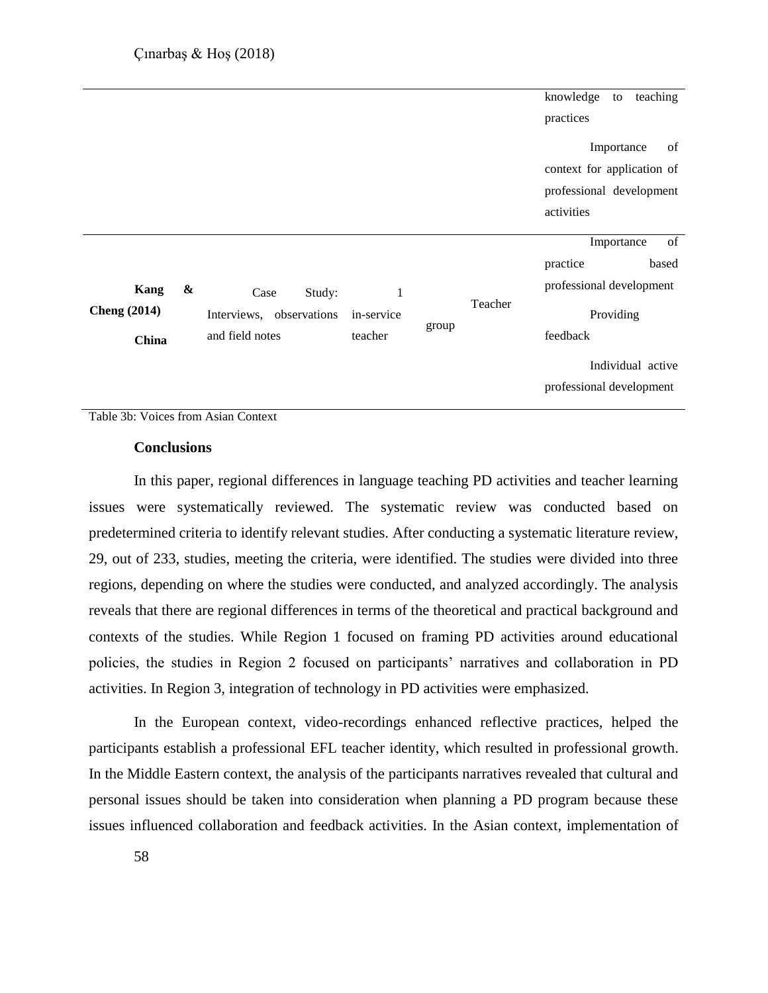|                                      |                                                                                                                      | knowledge<br>teaching<br>to<br>practices                                                                        |
|--------------------------------------|----------------------------------------------------------------------------------------------------------------------|-----------------------------------------------------------------------------------------------------------------|
|                                      |                                                                                                                      | Importance<br>of<br>context for application of<br>professional development<br>activities                        |
| Kang<br><b>Cheng</b> (2014)<br>China | &<br>Study:<br>1<br>Case<br>Teacher<br>Interviews, observations<br>in-service<br>group<br>and field notes<br>teacher | of<br>Importance<br>based<br>practice<br>professional development<br>Providing<br>feedback<br>Individual active |
|                                      |                                                                                                                      | professional development                                                                                        |

Table 3b: Voices from Asian Context

#### **Conclusions**

In this paper, regional differences in language teaching PD activities and teacher learning issues were systematically reviewed. The systematic review was conducted based on predetermined criteria to identify relevant studies. After conducting a systematic literature review, 29, out of 233, studies, meeting the criteria, were identified. The studies were divided into three regions, depending on where the studies were conducted, and analyzed accordingly. The analysis reveals that there are regional differences in terms of the theoretical and practical background and contexts of the studies. While Region 1 focused on framing PD activities around educational policies, the studies in Region 2 focused on participants' narratives and collaboration in PD activities. In Region 3, integration of technology in PD activities were emphasized.

In the European context, video-recordings enhanced reflective practices, helped the participants establish a professional EFL teacher identity, which resulted in professional growth. In the Middle Eastern context, the analysis of the participants narratives revealed that cultural and personal issues should be taken into consideration when planning a PD program because these issues influenced collaboration and feedback activities. In the Asian context, implementation of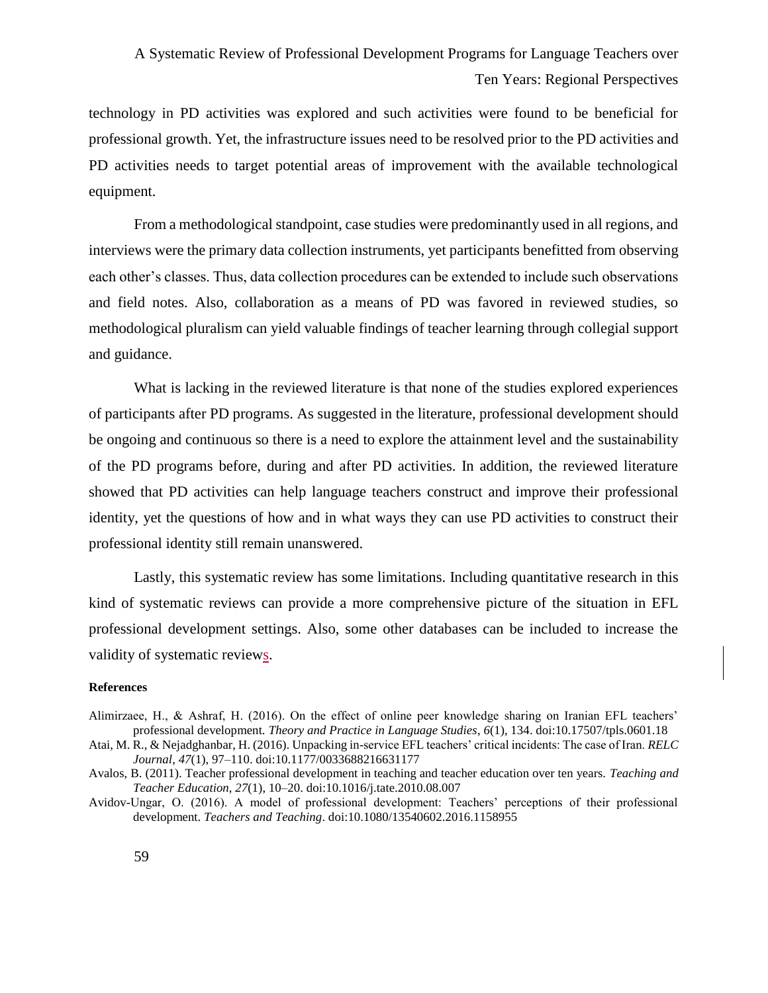technology in PD activities was explored and such activities were found to be beneficial for professional growth. Yet, the infrastructure issues need to be resolved prior to the PD activities and PD activities needs to target potential areas of improvement with the available technological equipment.

From a methodological standpoint, case studies were predominantly used in all regions, and interviews were the primary data collection instruments, yet participants benefitted from observing each other's classes. Thus, data collection procedures can be extended to include such observations and field notes. Also, collaboration as a means of PD was favored in reviewed studies, so methodological pluralism can yield valuable findings of teacher learning through collegial support and guidance.

What is lacking in the reviewed literature is that none of the studies explored experiences of participants after PD programs. As suggested in the literature, professional development should be ongoing and continuous so there is a need to explore the attainment level and the sustainability of the PD programs before, during and after PD activities. In addition, the reviewed literature showed that PD activities can help language teachers construct and improve their professional identity, yet the questions of how and in what ways they can use PD activities to construct their professional identity still remain unanswered.

Lastly, this systematic review has some limitations. Including quantitative research in this kind of systematic reviews can provide a more comprehensive picture of the situation in EFL professional development settings. Also, some other databases can be included to increase the validity of systematic reviews.

#### **References**

- Alimirzaee, H., & Ashraf, H. (2016). On the effect of online peer knowledge sharing on Iranian EFL teachers' professional development. *Theory and Practice in Language Studies*, *6*(1), 134. doi:10.17507/tpls.0601.18
- Atai, M. R., & Nejadghanbar, H. (2016). Unpacking in-service EFL teachers' critical incidents: The case of Iran. *RELC Journal*, *47*(1), 97–110. doi:10.1177/0033688216631177
- Avalos, B. (2011). Teacher professional development in teaching and teacher education over ten years. *Teaching and Teacher Education*, *27*(1), 10–20. doi:10.1016/j.tate.2010.08.007
- Avidov-Ungar, O. (2016). A model of professional development: Teachers' perceptions of their professional development. *Teachers and Teaching*. doi:10.1080/13540602.2016.1158955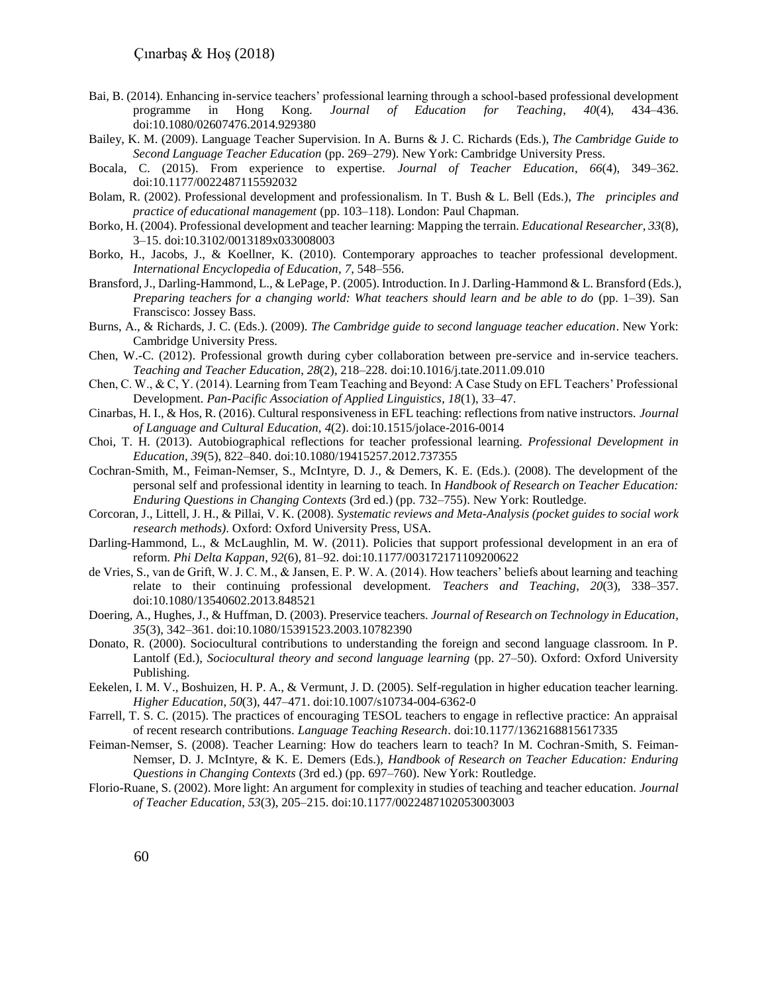- Bai, B. (2014). Enhancing in-service teachers' professional learning through a school-based professional development programme in Hong Kong. *Journal of Education for Teaching*, *40*(4), 434–436. doi:10.1080/02607476.2014.929380
- Bailey, K. M. (2009). Language Teacher Supervision. In A. Burns & J. C. Richards (Eds.), *The Cambridge Guide to Second Language Teacher Education* (pp. 269–279). New York: Cambridge University Press.
- Bocala, C. (2015). From experience to expertise. *Journal of Teacher Education*, *66*(4), 349–362. doi:10.1177/0022487115592032
- Bolam, R. (2002). Professional development and professionalism. In T. Bush & L. Bell (Eds.), *The principles and practice of educational management* (pp. 103–118). London: Paul Chapman.
- Borko, H. (2004). Professional development and teacher learning: Mapping the terrain. *Educational Researcher*, *33*(8), 3–15. doi:10.3102/0013189x033008003
- Borko, H., Jacobs, J., & Koellner, K. (2010). Contemporary approaches to teacher professional development. *International Encyclopedia of Education*, *7*, 548–556.
- Bransford, J., Darling-Hammond, L., & LePage, P. (2005). Introduction. In J. Darling-Hammond & L. Bransford (Eds.), *Preparing teachers for a changing world: What teachers should learn and be able to do* (pp. 1–39). San Franscisco: Jossey Bass.
- Burns, A., & Richards, J. C. (Eds.). (2009). *The Cambridge guide to second language teacher education*. New York: Cambridge University Press.
- Chen, W.-C. (2012). Professional growth during cyber collaboration between pre-service and in-service teachers. *Teaching and Teacher Education*, *28*(2), 218–228. doi:10.1016/j.tate.2011.09.010
- Chen, C. W., & C, Y. (2014). Learning from Team Teaching and Beyond: A Case Study on EFL Teachers' Professional Development. *Pan-Pacific Association of Applied Linguistics*, *18*(1), 33–47.
- Cinarbas, H. I., & Hos, R. (2016). Cultural responsiveness in EFL teaching: reflections from native instructors. *Journal of Language and Cultural Education, 4*(2). doi:10.1515/jolace-2016-0014
- Choi, T. H. (2013). Autobiographical reflections for teacher professional learning. *Professional Development in Education*, *39*(5), 822–840. doi:10.1080/19415257.2012.737355
- Cochran-Smith, M., Feiman-Nemser, S., McIntyre, D. J., & Demers, K. E. (Eds.). (2008). The development of the personal self and professional identity in learning to teach. In *Handbook of Research on Teacher Education: Enduring Questions in Changing Contexts* (3rd ed.) (pp. 732–755). New York: Routledge.
- Corcoran, J., Littell, J. H., & Pillai, V. K. (2008). *Systematic reviews and Meta-Analysis (pocket guides to social work research methods)*. Oxford: Oxford University Press, USA.
- Darling-Hammond, L., & McLaughlin, M. W. (2011). Policies that support professional development in an era of reform. *Phi Delta Kappan*, *92*(6), 81–92. doi:10.1177/003172171109200622
- de Vries, S., van de Grift, W. J. C. M., & Jansen, E. P. W. A. (2014). How teachers' beliefs about learning and teaching relate to their continuing professional development. *Teachers and Teaching*, *20*(3), 338–357. doi:10.1080/13540602.2013.848521
- Doering, A., Hughes, J., & Huffman, D. (2003). Preservice teachers. *Journal of Research on Technology in Education*, *35*(3), 342–361. doi:10.1080/15391523.2003.10782390
- Donato, R. (2000). Sociocultural contributions to understanding the foreign and second language classroom. In P. Lantolf (Ed.), *Sociocultural theory and second language learning* (pp. 27–50). Oxford: Oxford University Publishing.
- Eekelen, I. M. V., Boshuizen, H. P. A., & Vermunt, J. D. (2005). Self-regulation in higher education teacher learning. *Higher Education*, *50*(3), 447–471. doi:10.1007/s10734-004-6362-0
- Farrell, T. S. C. (2015). The practices of encouraging TESOL teachers to engage in reflective practice: An appraisal of recent research contributions. *Language Teaching Research*. doi:10.1177/1362168815617335
- Feiman-Nemser, S. (2008). Teacher Learning: How do teachers learn to teach? In M. Cochran-Smith, S. Feiman-Nemser, D. J. McIntyre, & K. E. Demers (Eds.), *Handbook of Research on Teacher Education: Enduring Questions in Changing Contexts* (3rd ed.) (pp. 697–760). New York: Routledge.
- Florio-Ruane, S. (2002). More light: An argument for complexity in studies of teaching and teacher education. *Journal of Teacher Education*, *53*(3), 205–215. doi:10.1177/0022487102053003003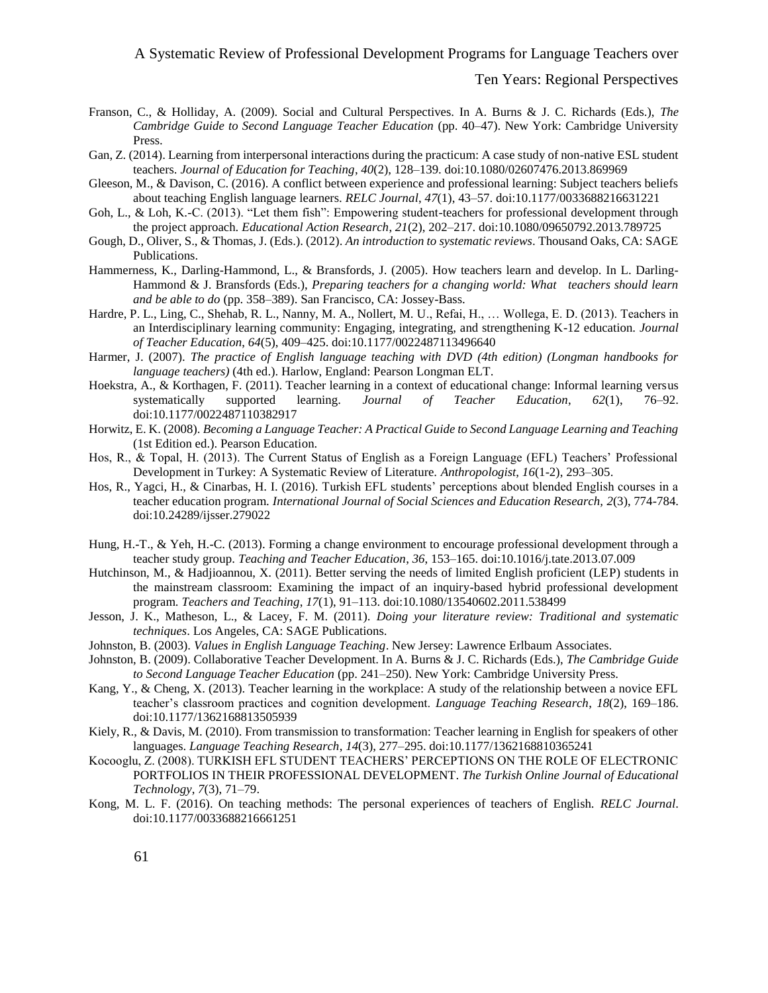#### A Systematic Review of Professional Development Programs for Language Teachers over

#### Ten Years: Regional Perspectives

- Franson, C., & Holliday, A. (2009). Social and Cultural Perspectives. In A. Burns & J. C. Richards (Eds.), *The Cambridge Guide to Second Language Teacher Education* (pp. 40–47). New York: Cambridge University Press.
- Gan, Z. (2014). Learning from interpersonal interactions during the practicum: A case study of non-native ESL student teachers. *Journal of Education for Teaching*, *40*(2), 128–139. doi:10.1080/02607476.2013.869969
- Gleeson, M., & Davison, C. (2016). A conflict between experience and professional learning: Subject teachers beliefs about teaching English language learners. *RELC Journal*, *47*(1), 43–57. doi:10.1177/0033688216631221
- Goh, L., & Loh, K.-C. (2013). "Let them fish": Empowering student-teachers for professional development through the project approach. *Educational Action Research*, *21*(2), 202–217. doi:10.1080/09650792.2013.789725
- Gough, D., Oliver, S., & Thomas, J. (Eds.). (2012). *An introduction to systematic reviews*. Thousand Oaks, CA: SAGE Publications.
- Hammerness, K., Darling-Hammond, L., & Bransfords, J. (2005). How teachers learn and develop. In L. Darling-Hammond & J. Bransfords (Eds.), *Preparing teachers for a changing world: What teachers should learn and be able to do* (pp. 358–389). San Francisco, CA: Jossey-Bass.
- Hardre, P. L., Ling, C., Shehab, R. L., Nanny, M. A., Nollert, M. U., Refai, H., … Wollega, E. D. (2013). Teachers in an Interdisciplinary learning community: Engaging, integrating, and strengthening K-12 education. *Journal of Teacher Education*, *64*(5), 409–425. doi:10.1177/0022487113496640
- Harmer, J. (2007). *The practice of English language teaching with DVD (4th edition) (Longman handbooks for language teachers)* (4th ed.). Harlow, England: Pearson Longman ELT.
- Hoekstra, A., & Korthagen, F. (2011). Teacher learning in a context of educational change: Informal learning versus systematically supported learning. *Journal of Teacher Education*, *62*(1), 76–92. doi:10.1177/0022487110382917
- Horwitz, E. K. (2008). *Becoming a Language Teacher: A Practical Guide to Second Language Learning and Teaching* (1st Edition ed.). Pearson Education.
- Hos, R., & Topal, H. (2013). The Current Status of English as a Foreign Language (EFL) Teachers' Professional Development in Turkey: A Systematic Review of Literature. *Anthropologist*, *16*(1-2), 293–305.
- Hos, R., Yagci, H., & Cinarbas, H. I. (2016). Turkish EFL students' perceptions about blended English courses in a teacher education program. *International Journal of Social Sciences and Education Research, 2*(3), 774-784. doi:10.24289/ijsser.279022
- Hung, H.-T., & Yeh, H.-C. (2013). Forming a change environment to encourage professional development through a teacher study group. *Teaching and Teacher Education*, *36*, 153–165. doi:10.1016/j.tate.2013.07.009
- Hutchinson, M., & Hadjioannou, X. (2011). Better serving the needs of limited English proficient (LEP) students in the mainstream classroom: Examining the impact of an inquiry-based hybrid professional development program. *Teachers and Teaching*, *17*(1), 91–113. doi:10.1080/13540602.2011.538499
- Jesson, J. K., Matheson, L., & Lacey, F. M. (2011). *Doing your literature review: Traditional and systematic techniques*. Los Angeles, CA: SAGE Publications.
- Johnston, B. (2003). *Values in English Language Teaching*. New Jersey: Lawrence Erlbaum Associates.
- Johnston, B. (2009). Collaborative Teacher Development. In A. Burns & J. C. Richards (Eds.), *The Cambridge Guide to Second Language Teacher Education* (pp. 241–250). New York: Cambridge University Press.
- Kang, Y., & Cheng, X. (2013). Teacher learning in the workplace: A study of the relationship between a novice EFL teacher's classroom practices and cognition development. *Language Teaching Research*, *18*(2), 169–186. doi:10.1177/1362168813505939
- Kiely, R., & Davis, M. (2010). From transmission to transformation: Teacher learning in English for speakers of other languages. *Language Teaching Research*, *14*(3), 277–295. doi:10.1177/1362168810365241
- Kocooglu, Z. (2008). TURKISH EFL STUDENT TEACHERS' PERCEPTIONS ON THE ROLE OF ELECTRONIC PORTFOLIOS IN THEIR PROFESSIONAL DEVELOPMENT. *The Turkish Online Journal of Educational Technology*, *7*(3), 71–79.
- Kong, M. L. F. (2016). On teaching methods: The personal experiences of teachers of English. *RELC Journal*. doi:10.1177/0033688216661251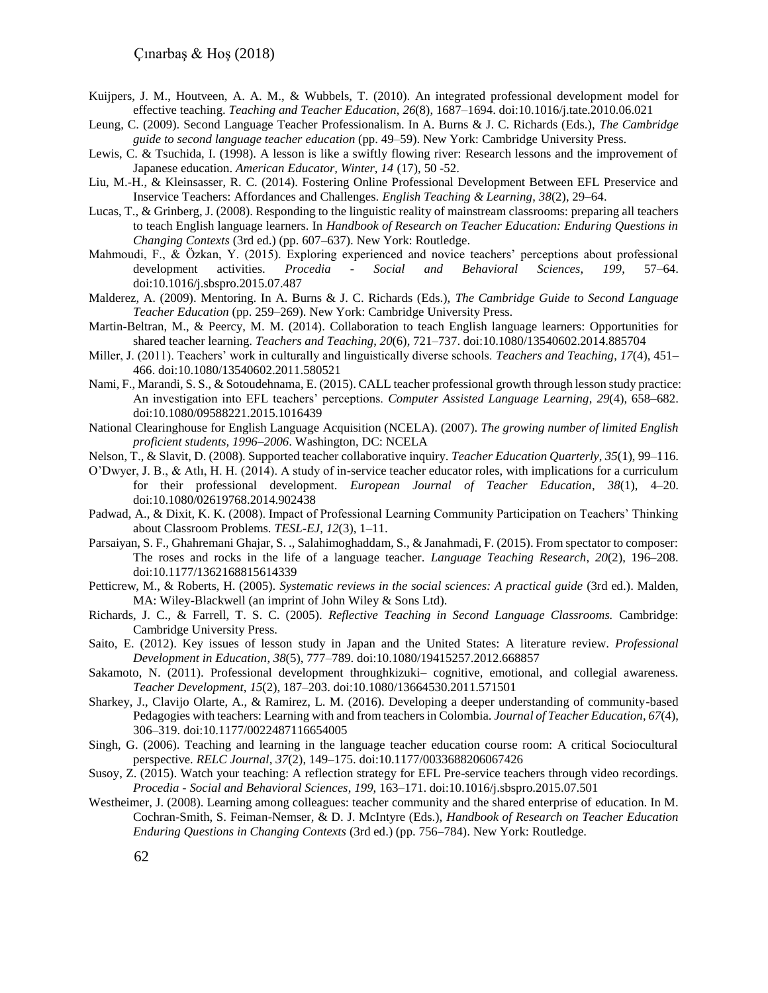- Kuijpers, J. M., Houtveen, A. A. M., & Wubbels, T. (2010). An integrated professional development model for effective teaching. *Teaching and Teacher Education*, *26*(8), 1687–1694. doi:10.1016/j.tate.2010.06.021
- Leung, C. (2009). Second Language Teacher Professionalism. In A. Burns & J. C. Richards (Eds.), *The Cambridge guide to second language teacher education* (pp. 49–59). New York: Cambridge University Press.
- Lewis, C. & Tsuchida, I. (1998). A lesson is like a swiftly flowing river: Research lessons and the improvement of Japanese education. *American Educator, Winter, 14* (17), 50 -52.
- Liu, M.-H., & Kleinsasser, R. C. (2014). Fostering Online Professional Development Between EFL Preservice and Inservice Teachers: Affordances and Challenges. *English Teaching & Learning*, *38*(2), 29–64.
- Lucas, T., & Grinberg, J. (2008). Responding to the linguistic reality of mainstream classrooms: preparing all teachers to teach English language learners. In *Handbook of Research on Teacher Education: Enduring Questions in Changing Contexts* (3rd ed.) (pp. 607–637). New York: Routledge.
- Mahmoudi, F., & Özkan, Y. (2015). Exploring experienced and novice teachers' perceptions about professional development activities. *Procedia - Social and Behavioral Sciences*, *199*, 57–64. doi:10.1016/j.sbspro.2015.07.487
- Malderez, A. (2009). Mentoring. In A. Burns & J. C. Richards (Eds.), *The Cambridge Guide to Second Language Teacher Education* (pp. 259–269). New York: Cambridge University Press.
- Martin-Beltran, M., & Peercy, M. M. (2014). Collaboration to teach English language learners: Opportunities for shared teacher learning. *Teachers and Teaching*, *20*(6), 721–737. doi:10.1080/13540602.2014.885704
- Miller, J. (2011). Teachers' work in culturally and linguistically diverse schools. *Teachers and Teaching*, *17*(4), 451– 466. doi:10.1080/13540602.2011.580521
- Nami, F., Marandi, S. S., & Sotoudehnama, E. (2015). CALL teacher professional growth through lesson study practice: An investigation into EFL teachers' perceptions. *Computer Assisted Language Learning*, *29*(4), 658–682. doi:10.1080/09588221.2015.1016439
- National Clearinghouse for English Language Acquisition (NCELA). (2007). *The growing number of limited English proficient students, 1996–2006*. Washington, DC: NCELA
- Nelson, T., & Slavit, D. (2008). Supported teacher collaborative inquiry. *Teacher Education Quarterly*, *35*(1), 99–116.
- O'Dwyer, J. B., & Atlı, H. H. (2014). A study of in-service teacher educator roles, with implications for a curriculum for their professional development. *European Journal of Teacher Education*, *38*(1), 4–20. doi:10.1080/02619768.2014.902438
- Padwad, A., & Dixit, K. K. (2008). Impact of Professional Learning Community Participation on Teachers' Thinking about Classroom Problems. *TESL-EJ*, *12*(3), 1–11.
- Parsaiyan, S. F., Ghahremani Ghajar, S. ., Salahimoghaddam, S., & Janahmadi, F. (2015). From spectator to composer: The roses and rocks in the life of a language teacher. *Language Teaching Research*, *20*(2), 196–208. doi:10.1177/1362168815614339
- Petticrew, M., & Roberts, H. (2005). *Systematic reviews in the social sciences: A practical guide* (3rd ed.). Malden, MA: Wiley-Blackwell (an imprint of John Wiley & Sons Ltd).
- Richards, J. C., & Farrell, T. S. C. (2005). *Reflective Teaching in Second Language Classrooms.* Cambridge: Cambridge University Press.
- Saito, E. (2012). Key issues of lesson study in Japan and the United States: A literature review. *Professional Development in Education*, *38*(5), 777–789. doi:10.1080/19415257.2012.668857
- Sakamoto, N. (2011). Professional development throughkizuki– cognitive, emotional, and collegial awareness. *Teacher Development*, *15*(2), 187–203. doi:10.1080/13664530.2011.571501
- Sharkey, J., Clavijo Olarte, A., & Ramirez, L. M. (2016). Developing a deeper understanding of community-based Pedagogies with teachers: Learning with and from teachers in Colombia. *Journal of Teacher Education*, *67*(4), 306–319. doi:10.1177/0022487116654005
- Singh, G. (2006). Teaching and learning in the language teacher education course room: A critical Sociocultural perspective. *RELC Journal*, *37*(2), 149–175. doi:10.1177/0033688206067426
- Susoy, Z. (2015). Watch your teaching: A reflection strategy for EFL Pre-service teachers through video recordings. *Procedia - Social and Behavioral Sciences*, *199*, 163–171. doi:10.1016/j.sbspro.2015.07.501
- Westheimer, J. (2008). Learning among colleagues: teacher community and the shared enterprise of education. In M. Cochran-Smith, S. Feiman-Nemser, & D. J. McIntyre (Eds.), *Handbook of Research on Teacher Education Enduring Questions in Changing Contexts* (3rd ed.) (pp. 756–784). New York: Routledge.